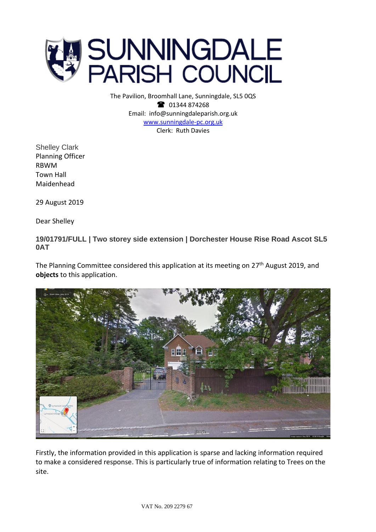

The Pavilion, Broomhall Lane, Sunningdale, SL5 0QS <sup>3</sup> 01344 874268 Email: info@sunningdaleparish.org.uk [www.sunningdale-pc.org.uk](http://www.sunningdale-pc.org.uk/) Clerk: Ruth Davies

Shelley Clark Planning Officer RBWM Town Hall Maidenhead

29 August 2019

Dear Shelley

**19/01791/FULL | Two storey side extension | Dorchester House Rise Road Ascot SL5 0AT**

The Planning Committee considered this application at its meeting on 27<sup>th</sup> August 2019, and **objects** to this application.



Firstly, the information provided in this application is sparse and lacking information required to make a considered response. This is particularly true of information relating to Trees on the site.